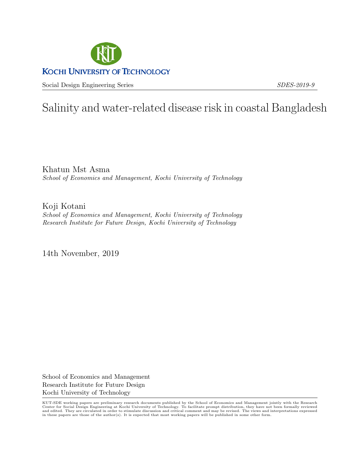

Social Design Engineering Series SDES-2019-9

# Salinity and water-related disease risk in coastal Bangladesh

Khatun Mst Asma School of Economics and Management, Kochi University of Technology

Koji Kotani School of Economics and Management, Kochi University of Technology Research Institute for Future Design, Kochi University of Technology

14th November, 2019

School of Economics and Management Research Institute for Future Design Kochi University of Technology

KUT-SDE working papers are preliminary research documents published by the School of Economics and Management jointly with the Research Center for Social Design Engineering at Kochi University of Technology. To facilitate prompt distribution, they have not been formally reviewed<br>and edited. They are circulated in order to stimulate discussion and critical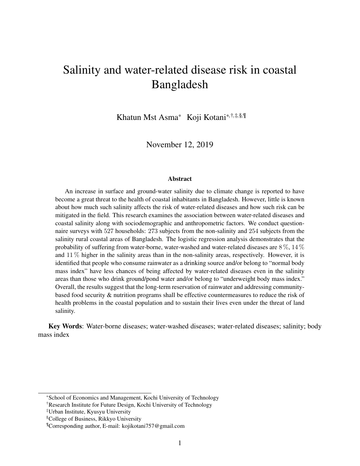# Salinity and water-related disease risk in coastal Bangladesh

Khatun Mst Asma\* Koji Kotani\*,†,‡,§,¶

November 12, 2019

#### Abstract

An increase in surface and ground-water salinity due to climate change is reported to have become a great threat to the health of coastal inhabitants in Bangladesh. However, little is known about how much such salinity affects the risk of water-related diseases and how such risk can be mitigated in the field. This research examines the association between water-related diseases and coastal salinity along with sociodemographic and anthropometric factors. We conduct questionnaire surveys with 527 households: 273 subjects from the non-salinity and 254 subjects from the salinity rural coastal areas of Bangladesh. The logistic regression analysis demonstrates that the probability of suffering from water-borne, water-washed and water-related diseases are  $8\%$ ,  $14\%$ and  $11\%$  higher in the salinity areas than in the non-salinity areas, respectively. However, it is identified that people who consume rainwater as a drinking source and/or belong to "normal body mass index" have less chances of being affected by water-related diseases even in the salinity areas than those who drink ground/pond water and/or belong to "underweight body mass index." Overall, the results suggest that the long-term reservation of rainwater and addressing communitybased food security & nutrition programs shall be effective countermeasures to reduce the risk of health problems in the coastal population and to sustain their lives even under the threat of land salinity.

Key Words: Water-borne diseases; water-washed diseases; water-related diseases; salinity; body mass index

<sup>\*</sup>School of Economics and Management, Kochi University of Technology

<sup>†</sup>Research Institute for Future Design, Kochi University of Technology

<sup>‡</sup>Urban Institute, Kyusyu University

<sup>§</sup>College of Business, Rikkyo University

<sup>¶</sup>Corresponding author, E-mail: kojikotani757@gmail.com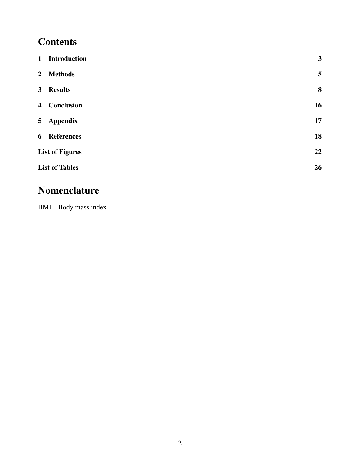# **Contents**

| 1 Introduction         | $\mathbf{3}$ |
|------------------------|--------------|
| 2 Methods              | 5            |
| 3 Results              | 8            |
| 4 Conclusion           | 16           |
| 5 Appendix             | 17           |
| 6 References           | 18           |
| <b>List of Figures</b> | 22           |
| <b>List of Tables</b>  | 26           |

# Nomenclature

BMI Body mass index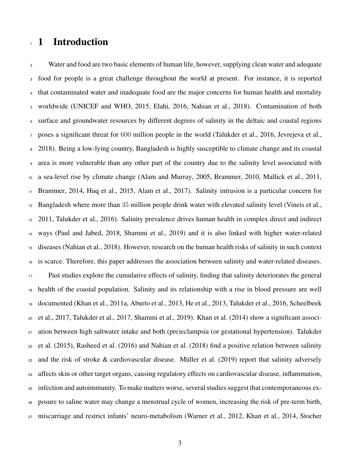## 1 Introduction

<sup>2</sup> Water and food are two basic elements of human life, however, supplying clean water and adequate food for people is a great challenge throughout the world at present. For instance, it is reported that contaminated water and inadequate food are the major concerns for human health and mortality worldwide (UNICEF and WHO, 2015, Elahi, 2016, Nahian et al., 2018). Contamination of both surface and groundwater resources by different degrees of salinity in the deltaic and coastal regions poses a significant threat for 600 million people in the world (Talukder et al., 2016, Jevrejeva et al., 2018). Being a low-lying country, Bangladesh is highly susceptible to climate change and its coastal area is more vulnerable than any other part of the country due to the salinity level associated with a sea-level rise by climate change (Alam and Murray, 2005, Brammer, 2010, Mallick et al., 2011, Brammer, 2014, Huq et al., 2015, Alam et al., 2017). Salinity intrusion is a particular concern for Bangladesh where more than 35 million people drink water with elevated salinity level (Vineis et al., 2011, Talukder et al., 2016). Salinity prevalence drives human health in complex direct and indirect ways (Paul and Jabed, 2018, Shammi et al., 2019) and it is also linked with higher water-related diseases (Nahian et al., 2018). However, research on the human health risks of salinity in such context is scarce. Therefore, this paper addresses the association between salinity and water-related diseases. Past studies explore the cumulative effects of salinity, finding that salinity deteriorates the general health of the coastal population. Salinity and its relationship with a rise in blood pressure are well documented (Khan et al., 2011a, Aburto et al., 2013, He et al., 2013, Talukder et al., 2016, Scheelbeek et al., 2017, Talukder et al., 2017, Shammi et al., 2019). Khan et al. (2014) show a significant associ- ation between high saltwater intake and both (pre)eclampsia (or gestational hypertension). Talukder et al. (2015), Rasheed et al. (2016) and Nahian et al. (2018) find a positive relation between salinity 23 and the risk of stroke  $&$  cardiovascular disease. Müller et al. (2019) report that salinity adversely affects skin or other target organs, causing regulatory effects on cardiovascular disease, inflammation, infection and autoimmunity. To make matters worse, several studies suggest that contemporaneous ex- posure to saline water may change a menstrual cycle of women, increasing the risk of pre-term birth, miscarriage and restrict infants' neuro-metabolism (Warner et al., 2012, Khan et al., 2014, Stocher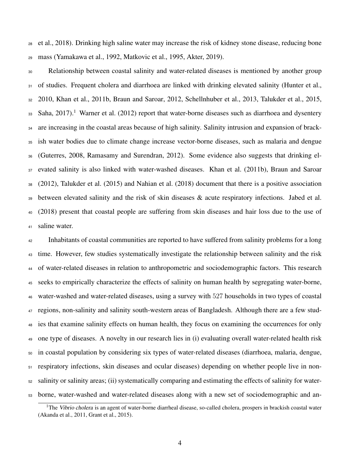et al., 2018). Drinking high saline water may increase the risk of kidney stone disease, reducing bone mass (Yamakawa et al., 1992, Matkovic et al., 1995, Akter, 2019).

 Relationship between coastal salinity and water-related diseases is mentioned by another group 31 of studies. Frequent cholera and diarrhoea are linked with drinking elevated salinity (Hunter et al., 2010, Khan et al., 2011b, Braun and Saroar, 2012, Schellnhuber et al., 2013, Talukder et al., 2015, 33 Saha, 2017).<sup>1</sup> Warner et al. (2012) report that water-borne diseases such as diarrhoea and dysentery are increasing in the coastal areas because of high salinity. Salinity intrusion and expansion of brack- ish water bodies due to climate change increase vector-borne diseases, such as malaria and dengue (Guterres, 2008, Ramasamy and Surendran, 2012). Some evidence also suggests that drinking el-37 evated salinity is also linked with water-washed diseases. Khan et al. (2011b), Braun and Saroar (2012), Talukder et al. (2015) and Nahian et al. (2018) document that there is a positive association between elevated salinity and the risk of skin diseases & acute respiratory infections. Jabed et al. (2018) present that coastal people are suffering from skin diseases and hair loss due to the use of saline water.

 Inhabitants of coastal communities are reported to have suffered from salinity problems for a long time. However, few studies systematically investigate the relationship between salinity and the risk of water-related diseases in relation to anthropometric and sociodemographic factors. This research seeks to empirically characterize the effects of salinity on human health by segregating water-borne, water-washed and water-related diseases, using a survey with 527 households in two types of coastal regions, non-salinity and salinity south-western areas of Bangladesh. Although there are a few stud- ies that examine salinity effects on human health, they focus on examining the occurrences for only one type of diseases. A novelty in our research lies in (i) evaluating overall water-related health risk in coastal population by considering six types of water-related diseases (diarrhoea, malaria, dengue, respiratory infections, skin diseases and ocular diseases) depending on whether people live in non- salinity or salinity areas; (ii) systematically comparing and estimating the effects of salinity for water-borne, water-washed and water-related diseases along with a new set of sociodemographic and an-

<sup>&</sup>lt;sup>1</sup>The Vibrio cholera is an agent of water-borne diarrheal disease, so-called cholera, prospers in brackish coastal water (Akanda et al., 2011, Grant et al., 2015).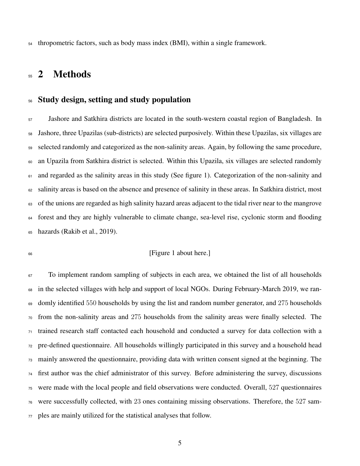thropometric factors, such as body mass index (BMI), within a single framework.

## <sub>55</sub> 2 Methods

#### Study design, setting and study population

 Jashore and Satkhira districts are located in the south-western coastal region of Bangladesh. In Jashore, three Upazilas (sub-districts) are selected purposively. Within these Upazilas, six villages are selected randomly and categorized as the non-salinity areas. Again, by following the same procedure, an Upazila from Satkhira district is selected. Within this Upazila, six villages are selected randomly <sup>61</sup> and regarded as the salinity areas in this study (See figure 1). Categorization of the non-salinity and salinity areas is based on the absence and presence of salinity in these areas. In Satkhira district, most of the unions are regarded as high salinity hazard areas adjacent to the tidal river near to the mangrove forest and they are highly vulnerable to climate change, sea-level rise, cyclonic storm and flooding hazards (Rakib et al., 2019).

#### [Figure 1 about here.]

<sup>67</sup> To implement random sampling of subjects in each area, we obtained the list of all households in the selected villages with help and support of local NGOs. During February-March 2019, we ran-69 domly identified 550 households by using the list and random number generator, and 275 households from the non-salinity areas and 275 households from the salinity areas were finally selected. The trained research staff contacted each household and conducted a survey for data collection with a pre-defined questionnaire. All households willingly participated in this survey and a household head mainly answered the questionnaire, providing data with written consent signed at the beginning. The first author was the chief administrator of this survey. Before administering the survey, discussions were made with the local people and field observations were conducted. Overall, 527 questionnaires were successfully collected, with 23 ones containing missing observations. Therefore, the 527 sam-ples are mainly utilized for the statistical analyses that follow.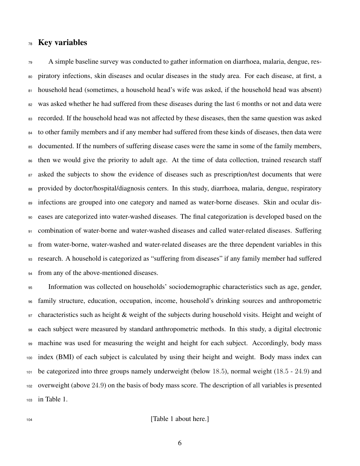#### Key variables

 A simple baseline survey was conducted to gather information on diarrhoea, malaria, dengue, res- piratory infections, skin diseases and ocular diseases in the study area. For each disease, at first, a 81 household head (sometimes, a household head's wife was asked, if the household head was absent) <sup>82</sup> was asked whether he had suffered from these diseases during the last 6 months or not and data were recorded. If the household head was not affected by these diseases, then the same question was asked to other family members and if any member had suffered from these kinds of diseases, then data were 85 documented. If the numbers of suffering disease cases were the same in some of the family members, then we would give the priority to adult age. At the time of data collection, trained research staff 87 asked the subjects to show the evidence of diseases such as prescription/test documents that were provided by doctor/hospital/diagnosis centers. In this study, diarrhoea, malaria, dengue, respiratory 89 infections are grouped into one category and named as water-borne diseases. Skin and ocular dis- eases are categorized into water-washed diseases. The final categorization is developed based on the combination of water-borne and water-washed diseases and called water-related diseases. Suffering from water-borne, water-washed and water-related diseases are the three dependent variables in this research. A household is categorized as "suffering from diseases" if any family member had suffered from any of the above-mentioned diseases.

 Information was collected on households' sociodemographic characteristics such as age, gender, family structure, education, occupation, income, household's drinking sources and anthropometric characteristics such as height & weight of the subjects during household visits. Height and weight of each subject were measured by standard anthropometric methods. In this study, a digital electronic machine was used for measuring the weight and height for each subject. Accordingly, body mass index (BMI) of each subject is calculated by using their height and weight. Body mass index can be categorized into three groups namely underweight (below 18.5), normal weight (18.5 - 24.9) and overweight (above 24.9) on the basis of body mass score. The description of all variables is presented in Table 1.

**I** about here.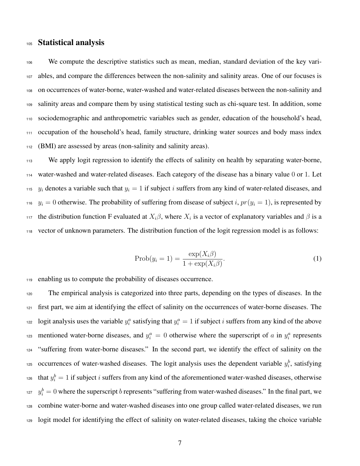#### Statistical analysis

 We compute the descriptive statistics such as mean, median, standard deviation of the key vari- ables, and compare the differences between the non-salinity and salinity areas. One of our focuses is on occurrences of water-borne, water-washed and water-related diseases between the non-salinity and salinity areas and compare them by using statistical testing such as chi-square test. In addition, some sociodemographic and anthropometric variables such as gender, education of the household's head, occupation of the household's head, family structure, drinking water sources and body mass index (BMI) are assessed by areas (non-salinity and salinity areas).

<sup>113</sup> We apply logit regression to identify the effects of salinity on health by separating water-borne, water-washed and water-related diseases. Each category of the disease has a binary value 0 or 1. Let y<sub>i</sub> denotes a variable such that  $y_i = 1$  if subject i suffers from any kind of water-related diseases, and <sup>116</sup>  $y_i = 0$  otherwise. The probability of suffering from disease of subject i,  $pr(y_i = 1)$ , is represented by the distribution function F evaluated at  $X_i\beta$ , where  $X_i$  is a vector of explanatory variables and  $\beta$  is a vector of unknown parameters. The distribution function of the logit regression model is as follows:

$$
\text{Prob}(y_i = 1) = \frac{\exp(X_i \beta)}{1 + \exp(X_i \beta)}.
$$
\n(1)

enabling us to compute the probability of diseases occurrence.

 The empirical analysis is categorized into three parts, depending on the types of diseases. In the first part, we aim at identifying the effect of salinity on the occurrences of water-borne diseases. The logit analysis uses the variable  $y_i^a$  satisfying that  $y_i^a = 1$  if subject i suffers from any kind of the above numeration and  $y_i^a = 0$  otherwise where the superscript of a in  $y_i^a$  represents "suffering from water-borne diseases." In the second part, we identify the effect of salinity on the <sup>125</sup> occurrences of water-washed diseases. The logit analysis uses the dependent variable  $y_i^b$ , satisfying that  $y_i^b = 1$  if subject i suffers from any kind of the aforementioned water-washed diseases, otherwise  $y_i^b = 0$  where the superscript b represents "suffering from water-washed diseases." In the final part, we combine water-borne and water-washed diseases into one group called water-related diseases, we run logit model for identifying the effect of salinity on water-related diseases, taking the choice variable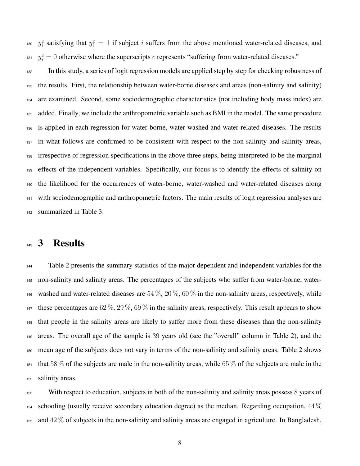<sup>130</sup>  $y_i^c$  satisfying that  $y_i^c = 1$  if subject i suffers from the above mentioned water-related diseases, and  $y_i^c = 0$  otherwise where the superscripts c represents "suffering from water-related diseases."

 In this study, a series of logit regression models are applied step by step for checking robustness of the results. First, the relationship between water-borne diseases and areas (non-salinity and salinity) are examined. Second, some sociodemographic characteristics (not including body mass index) are added. Finally, we include the anthropometric variable such as BMI in the model. The same procedure is applied in each regression for water-borne, water-washed and water-related diseases. The results in what follows are confirmed to be consistent with respect to the non-salinity and salinity areas, irrespective of regression specifications in the above three steps, being interpreted to be the marginal effects of the independent variables. Specifically, our focus is to identify the effects of salinity on the likelihood for the occurrences of water-borne, water-washed and water-related diseases along with sociodemographic and anthropometric factors. The main results of logit regression analyses are summarized in Table 3.

### 143 3 Results

 Table 2 presents the summary statistics of the major dependent and independent variables for the non-salinity and salinity areas. The percentages of the subjects who suffer from water-borne, water-146 washed and water-related diseases are  $54\%, 20\%, 60\%$  in the non-salinity areas, respectively, while 147 these percentages are  $62\%, 29\%, 69\%$  in the salinity areas, respectively. This result appears to show that people in the salinity areas are likely to suffer more from these diseases than the non-salinity areas. The overall age of the sample is 39 years old (see the "overall" column in Table 2), and the mean age of the subjects does not vary in terms of the non-salinity and salinity areas. Table 2 shows 151 that 58 % of the subjects are male in the non-salinity areas, while 65 % of the subjects are male in the salinity areas.

 With respect to education, subjects in both of the non-salinity and salinity areas possess 8 years of schooling (usually receive secondary education degree) as the median. Regarding occupation,  $44\%$ 155 and  $42\%$  of subjects in the non-salinity and salinity areas are engaged in agriculture. In Bangladesh,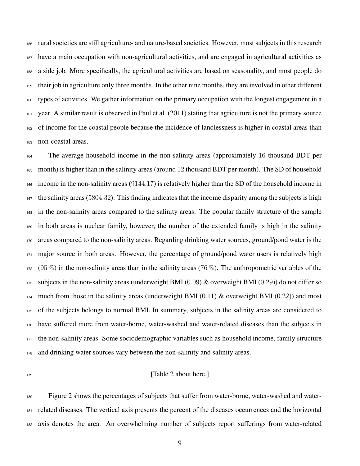rural societies are still agriculture- and nature-based societies. However, most subjects in this research have a main occupation with non-agricultural activities, and are engaged in agricultural activities as a side job. More specifically, the agricultural activities are based on seasonality, and most people do their job in agriculture only three months. In the other nine months, they are involved in other different types of activities. We gather information on the primary occupation with the longest engagement in a year. A similar result is observed in Paul et al. (2011) stating that agriculture is not the primary source of income for the coastal people because the incidence of landlessness is higher in coastal areas than non-coastal areas.

 The average household income in the non-salinity areas (approximately 16 thousand BDT per month) is higher than in the salinity areas (around 12 thousand BDT per month). The SD of household income in the non-salinity areas (9144.17) is relatively higher than the SD of the household income in the salinity areas (5804.32). This finding indicates that the income disparity among the subjects is high in the non-salinity areas compared to the salinity areas. The popular family structure of the sample in both areas is nuclear family, however, the number of the extended family is high in the salinity areas compared to the non-salinity areas. Regarding drinking water sources, ground/pond water is the <sup>171</sup> major source in both areas. However, the percentage of ground/pond water users is relatively high (95 %) in the non-salinity areas than in the salinity areas (76 %). The anthropometric variables of the subjects in the non-salinity areas (underweight BMI (0.09) & overweight BMI (0.29)) do not differ so much from those in the salinity areas (underweight BMI (0.11) & overweight BMI (0.22)) and most of the subjects belongs to normal BMI. In summary, subjects in the salinity areas are considered to have suffered more from water-borne, water-washed and water-related diseases than the subjects in the non-salinity areas. Some sociodemographic variables such as household income, family structure and drinking water sources vary between the non-salinity and salinity areas.

#### **In the Caucal** Service Contract (Table 2 about here.)

 Figure 2 shows the percentages of subjects that suffer from water-borne, water-washed and water- related diseases. The vertical axis presents the percent of the diseases occurrences and the horizontal axis denotes the area. An overwhelming number of subjects report sufferings from water-related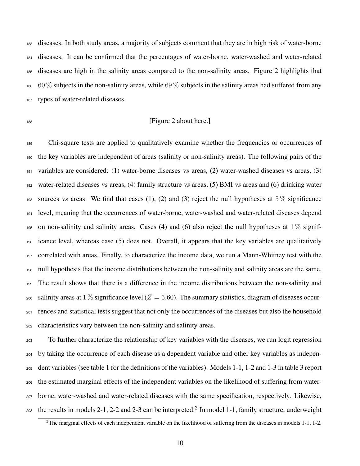diseases. In both study areas, a majority of subjects comment that they are in high risk of water-borne diseases. It can be confirmed that the percentages of water-borne, water-washed and water-related diseases are high in the salinity areas compared to the non-salinity areas. Figure 2 highlights that  $186\,$  60 % subjects in the non-salinity areas, while 69 % subjects in the salinity areas had suffered from any types of water-related diseases.

#### **IFigure 2 about here.**]

 Chi-square tests are applied to qualitatively examine whether the frequencies or occurrences of the key variables are independent of areas (salinity or non-salinity areas). The following pairs of the variables are considered: (1) water-borne diseases vs areas, (2) water-washed diseases vs areas, (3) water-related diseases vs areas, (4) family structure vs areas, (5) BMI vs areas and (6) drinking water 193 sources vs areas. We find that cases (1), (2) and (3) reject the null hypotheses at  $5\%$  significance level, meaning that the occurrences of water-borne, water-washed and water-related diseases depend 195 on non-salinity and salinity areas. Cases (4) and (6) also reject the null hypotheses at  $1\%$  signif- icance level, whereas case (5) does not. Overall, it appears that the key variables are qualitatively correlated with areas. Finally, to characterize the income data, we run a Mann-Whitney test with the null hypothesis that the income distributions between the non-salinity and salinity areas are the same. The result shows that there is a difference in the income distributions between the non-salinity and 200 salinity areas at  $1\%$  significance level ( $Z = 5.60$ ). The summary statistics, diagram of diseases occur- rences and statistical tests suggest that not only the occurrences of the diseases but also the household characteristics vary between the non-salinity and salinity areas.

 To further characterize the relationship of key variables with the diseases, we run logit regression by taking the occurrence of each disease as a dependent variable and other key variables as indepen- dent variables (see table 1 for the definitions of the variables). Models 1-1, 1-2 and 1-3 in table 3 report the estimated marginal effects of the independent variables on the likelihood of suffering from water- borne, water-washed and water-related diseases with the same specification, respectively. Likewise,  $_{208}$  the results in models 2-1, 2-2 and 2-3 can be interpreted.<sup>2</sup> In model 1-1, family structure, underweight

<sup>&</sup>lt;sup>2</sup>The marginal effects of each independent variable on the likelihood of suffering from the diseases in models 1-1, 1-2,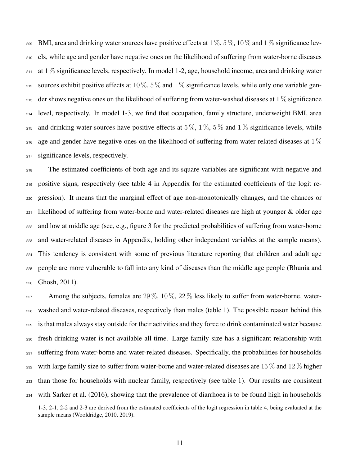209 BMI, area and drinking water sources have positive effects at  $1\%$ ,  $5\%$ ,  $10\%$  and  $1\%$  significance lev-<sup>210</sup> els, while age and gender have negative ones on the likelihood of suffering from water-borne diseases 211 at  $1\%$  significance levels, respectively. In model 1-2, age, household income, area and drinking water 212 sources exhibit positive effects at 10 %, 5 % and 1 % significance levels, while only one variable gen- $_{213}$  der shows negative ones on the likelihood of suffering from water-washed diseases at 1 % significance <sup>214</sup> level, respectively. In model 1-3, we find that occupation, family structure, underweight BMI, area 215 and drinking water sources have positive effects at 5%, 1%, 5% and 1% significance levels, while 216 age and gender have negative ones on the likelihood of suffering from water-related diseases at  $1\%$ 217 significance levels, respectively.

 The estimated coefficients of both age and its square variables are significant with negative and positive signs, respectively (see table 4 in Appendix for the estimated coefficients of the logit re- gression). It means that the marginal effect of age non-monotonically changes, and the chances or  $_{221}$  likelihood of suffering from water-borne and water-related diseases are high at younger & older age and low at middle age (see, e.g., figure 3 for the predicted probabilities of suffering from water-borne and water-related diseases in Appendix, holding other independent variables at the sample means). This tendency is consistent with some of previous literature reporting that children and adult age people are more vulnerable to fall into any kind of diseases than the middle age people (Bhunia and Ghosh, 2011).

227 Among the subjects, females are  $29\%$ ,  $10\%$ ,  $22\%$  less likely to suffer from water-borne, water- washed and water-related diseases, respectively than males (table 1). The possible reason behind this is that males always stay outside for their activities and they force to drink contaminated water because fresh drinking water is not available all time. Large family size has a significant relationship with suffering from water-borne and water-related diseases. Specifically, the probabilities for households 232 with large family size to suffer from water-borne and water-related diseases are  $15\%$  and  $12\%$  higher than those for households with nuclear family, respectively (see table 1). Our results are consistent with Sarker et al. (2016), showing that the prevalence of diarrhoea is to be found high in households

<sup>1-3, 2-1, 2-2</sup> and 2-3 are derived from the estimated coefficients of the logit regression in table 4, being evaluated at the sample means (Wooldridge, 2010, 2019).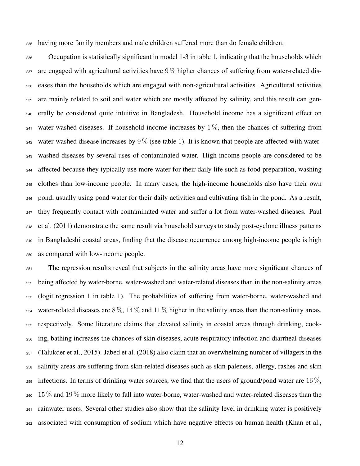having more family members and male children suffered more than do female children.

 Occupation is statistically significant in model 1-3 in table 1, indicating that the households which are engaged with agricultural activities have  $9\%$  higher chances of suffering from water-related dis- eases than the households which are engaged with non-agricultural activities. Agricultural activities are mainly related to soil and water which are mostly affected by salinity, and this result can gen- erally be considered quite intuitive in Bangladesh. Household income has a significant effect on <sup>241</sup> water-washed diseases. If household income increases by  $1\%$ , then the chances of suffering from 242 water-washed disease increases by  $9\%$  (see table 1). It is known that people are affected with water- washed diseases by several uses of contaminated water. High-income people are considered to be affected because they typically use more water for their daily life such as food preparation, washing clothes than low-income people. In many cases, the high-income households also have their own pond, usually using pond water for their daily activities and cultivating fish in the pond. As a result, they frequently contact with contaminated water and suffer a lot from water-washed diseases. Paul et al. (2011) demonstrate the same result via household surveys to study post-cyclone illness patterns in Bangladeshi coastal areas, finding that the disease occurrence among high-income people is high as compared with low-income people.

 The regression results reveal that subjects in the salinity areas have more significant chances of being affected by water-borne, water-washed and water-related diseases than in the non-salinity areas (logit regression 1 in table 1). The probabilities of suffering from water-borne, water-washed and 254 water-related diseases are  $8\%$ ,  $14\%$  and  $11\%$  higher in the salinity areas than the non-salinity areas, respectively. Some literature claims that elevated salinity in coastal areas through drinking, cook- ing, bathing increases the chances of skin diseases, acute respiratory infection and diarrheal diseases (Talukder et al., 2015). Jabed et al. (2018) also claim that an overwhelming number of villagers in the salinity areas are suffering from skin-related diseases such as skin paleness, allergy, rashes and skin 259 infections. In terms of drinking water sources, we find that the users of ground/pond water are 16  $\%$ , 15% and 19% more likely to fall into water-borne, water-washed and water-related diseases than the rainwater users. Several other studies also show that the salinity level in drinking water is positively associated with consumption of sodium which have negative effects on human health (Khan et al.,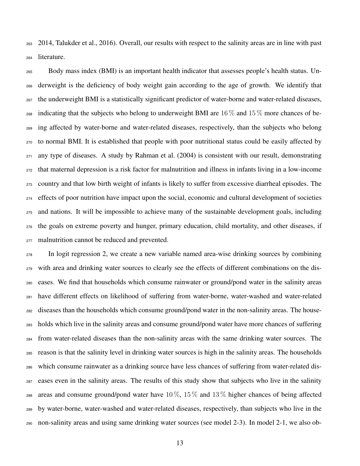2014, Talukder et al., 2016). Overall, our results with respect to the salinity areas are in line with past literature.

 Body mass index (BMI) is an important health indicator that assesses people's health status. Un- derweight is the deficiency of body weight gain according to the age of growth. We identify that the underweight BMI is a statistically significant predictor of water-borne and water-related diseases, 268 indicating that the subjects who belong to underweight BMI are  $16\%$  and  $15\%$  more chances of be- ing affected by water-borne and water-related diseases, respectively, than the subjects who belong to normal BMI. It is established that people with poor nutritional status could be easily affected by any type of diseases. A study by Rahman et al. (2004) is consistent with our result, demonstrating that maternal depression is a risk factor for malnutrition and illness in infants living in a low-income country and that low birth weight of infants is likely to suffer from excessive diarrheal episodes. The effects of poor nutrition have impact upon the social, economic and cultural development of societies and nations. It will be impossible to achieve many of the sustainable development goals, including the goals on extreme poverty and hunger, primary education, child mortality, and other diseases, if malnutrition cannot be reduced and prevented.

 In logit regression 2, we create a new variable named area-wise drinking sources by combining with area and drinking water sources to clearly see the effects of different combinations on the dis- eases. We find that households which consume rainwater or ground/pond water in the salinity areas have different effects on likelihood of suffering from water-borne, water-washed and water-related diseases than the households which consume ground/pond water in the non-salinity areas. The house- holds which live in the salinity areas and consume ground/pond water have more chances of suffering from water-related diseases than the non-salinity areas with the same drinking water sources. The reason is that the salinity level in drinking water sources is high in the salinity areas. The households which consume rainwater as a drinking source have less chances of suffering from water-related dis- eases even in the salinity areas. The results of this study show that subjects who live in the salinity 288 areas and consume ground/pond water have  $10\%$ ,  $15\%$  and  $13\%$  higher chances of being affected by water-borne, water-washed and water-related diseases, respectively, than subjects who live in the non-salinity areas and using same drinking water sources (see model 2-3). In model 2-1, we also ob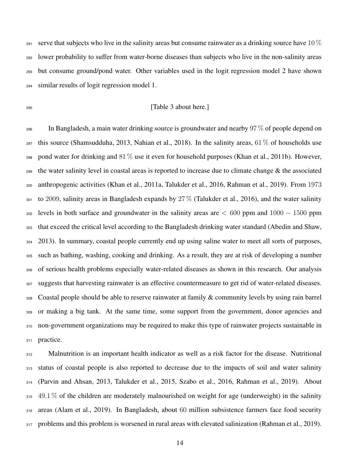291 serve that subjects who live in the salinity areas but consume rainwater as a drinking source have 10  $\%$  lower probability to suffer from water-borne diseases than subjects who live in the non-salinity areas but consume ground/pond water. Other variables used in the logit regression model 2 have shown similar results of logit regression model 1.

#### <sup>295</sup> [Table 3 about here.]

296 In Bangladesh, a main water drinking source is groundwater and nearby  $97\%$  of people depend on 297 this source (Shamsudduha, 2013, Nahian et al., 2018). In the salinity areas,  $61\%$  of households use 298 pond water for drinking and  $81\%$  use it even for household purposes (Khan et al., 2011b). However, 299 the water salinity level in coastal areas is reported to increase due to climate change  $\&$  the associated anthropogenic activities (Khan et al., 2011a, Talukder et al., 2016, Rahman et al., 2019). From 1973 301 to 2009, salinity areas in Bangladesh expands by  $27\%$  (Talukder et al., 2016), and the water salinity 302 levels in both surface and groundwater in the salinity areas are  $< 600$  ppm and  $1000 - 1500$  ppm that exceed the critical level according to the Bangladesh drinking water standard (Abedin and Shaw, 2013). In summary, coastal people currently end up using saline water to meet all sorts of purposes, such as bathing, washing, cooking and drinking. As a result, they are at risk of developing a number of serious health problems especially water-related diseases as shown in this research. Our analysis suggests that harvesting rainwater is an effective countermeasure to get rid of water-related diseases. Coastal people should be able to reserve rainwater at family & community levels by using rain barrel or making a big tank. At the same time, some support from the government, donor agencies and non-government organizations may be required to make this type of rainwater projects sustainable in 311 practice.

 Malnutrition is an important health indicator as well as a risk factor for the disease. Nutritional status of coastal people is also reported to decrease due to the impacts of soil and water salinity (Parvin and Ahsan, 2013, Talukder et al., 2015, Szabo et al., 2016, Rahman et al., 2019). About  $315\quad 49.1\%$  of the children are moderately malnourished on weight for age (underweight) in the salinity areas (Alam et al., 2019). In Bangladesh, about 60 million subsistence farmers face food security 317 problems and this problem is worsened in rural areas with elevated salinization (Rahman et al., 2019).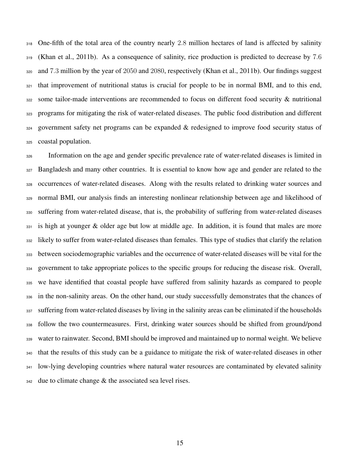One-fifth of the total area of the country nearly 2.8 million hectares of land is affected by salinity (Khan et al., 2011b). As a consequence of salinity, rice production is predicted to decrease by 7.6 and 7.3 million by the year of 2050 and 2080, respectively (Khan et al., 2011b). Our findings suggest that improvement of nutritional status is crucial for people to be in normal BMI, and to this end, some tailor-made interventions are recommended to focus on different food security & nutritional programs for mitigating the risk of water-related diseases. The public food distribution and different government safety net programs can be expanded & redesigned to improve food security status of coastal population.

 Information on the age and gender specific prevalence rate of water-related diseases is limited in 327 Bangladesh and many other countries. It is essential to know how age and gender are related to the occurrences of water-related diseases. Along with the results related to drinking water sources and normal BMI, our analysis finds an interesting nonlinear relationship between age and likelihood of suffering from water-related disease, that is, the probability of suffering from water-related diseases is high at younger & older age but low at middle age. In addition, it is found that males are more likely to suffer from water-related diseases than females. This type of studies that clarify the relation between sociodemographic variables and the occurrence of water-related diseases will be vital for the government to take appropriate polices to the specific groups for reducing the disease risk. Overall, we have identified that coastal people have suffered from salinity hazards as compared to people in the non-salinity areas. On the other hand, our study successfully demonstrates that the chances of suffering from water-related diseases by living in the salinity areas can be eliminated if the households follow the two countermeasures. First, drinking water sources should be shifted from ground/pond water to rainwater. Second, BMI should be improved and maintained up to normal weight. We believe that the results of this study can be a guidance to mitigate the risk of water-related diseases in other low-lying developing countries where natural water resources are contaminated by elevated salinity  $_{342}$  due to climate change & the associated sea level rises.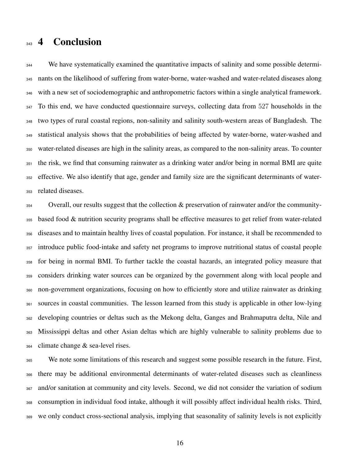## 343 4 Conclusion

<sup>344</sup> We have systematically examined the quantitative impacts of salinity and some possible determi- nants on the likelihood of suffering from water-borne, water-washed and water-related diseases along with a new set of sociodemographic and anthropometric factors within a single analytical framework. 347 To this end, we have conducted questionnaire surveys, collecting data from 527 households in the two types of rural coastal regions, non-salinity and salinity south-western areas of Bangladesh. The statistical analysis shows that the probabilities of being affected by water-borne, water-washed and water-related diseases are high in the salinity areas, as compared to the non-salinity areas. To counter the risk, we find that consuming rainwater as a drinking water and/or being in normal BMI are quite effective. We also identify that age, gender and family size are the significant determinants of water-related diseases.

 Overall, our results suggest that the collection  $\&$  preservation of rainwater and/or the community- based food & nutrition security programs shall be effective measures to get relief from water-related diseases and to maintain healthy lives of coastal population. For instance, it shall be recommended to introduce public food-intake and safety net programs to improve nutritional status of coastal people for being in normal BMI. To further tackle the coastal hazards, an integrated policy measure that considers drinking water sources can be organized by the government along with local people and non-government organizations, focusing on how to efficiently store and utilize rainwater as drinking sources in coastal communities. The lesson learned from this study is applicable in other low-lying developing countries or deltas such as the Mekong delta, Ganges and Brahmaputra delta, Nile and Mississippi deltas and other Asian deltas which are highly vulnerable to salinity problems due to climate change & sea-level rises.

 We note some limitations of this research and suggest some possible research in the future. First, there may be additional environmental determinants of water-related diseases such as cleanliness and/or sanitation at community and city levels. Second, we did not consider the variation of sodium consumption in individual food intake, although it will possibly affect individual health risks. Third, we only conduct cross-sectional analysis, implying that seasonality of salinity levels is not explicitly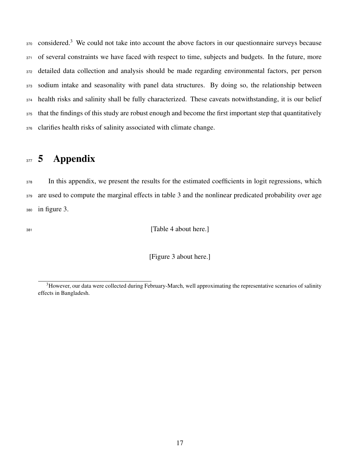370 considered.<sup>3</sup> We could not take into account the above factors in our questionnaire surveys because 371 of several constraints we have faced with respect to time, subjects and budgets. In the future, more 372 detailed data collection and analysis should be made regarding environmental factors, per person 373 sodium intake and seasonality with panel data structures. By doing so, the relationship between <sup>374</sup> health risks and salinity shall be fully characterized. These caveats notwithstanding, it is our belief 375 that the findings of this study are robust enough and become the first important step that quantitatively <sup>376</sup> clarifies health risks of salinity associated with climate change.

## 377 5 Appendix

<sup>378</sup> In this appendix, we present the results for the estimated coefficients in logit regressions, which <sup>379</sup> are used to compute the marginal effects in table 3 and the nonlinear predicated probability over age <sup>380</sup> in figure 3.

381 **[Table 4 about here.]** 

[Figure 3 about here.]

 $3H$ owever, our data were collected during February-March, well approximating the representative scenarios of salinity effects in Bangladesh.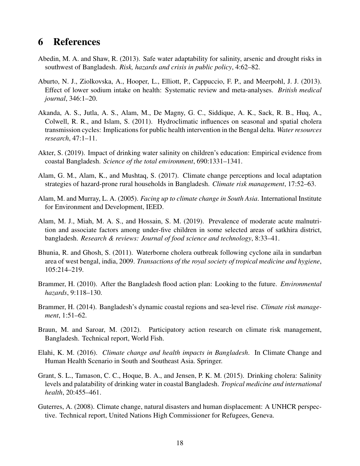## 6 References

- Abedin, M. A. and Shaw, R. (2013). Safe water adaptability for salinity, arsenic and drought risks in southwest of Bangladesh. *Risk, hazards and crisis in public policy*, 4:62–82.
- Aburto, N. J., Ziolkovska, A., Hooper, L., Elliott, P., Cappuccio, F. P., and Meerpohl, J. J. (2013). Effect of lower sodium intake on health: Systematic review and meta-analyses. *British medical journal*, 346:1–20.
- Akanda, A. S., Jutla, A. S., Alam, M., De Magny, G. C., Siddique, A. K., Sack, R. B., Huq, A., Colwell, R. R., and Islam, S. (2011). Hydroclimatic influences on seasonal and spatial cholera transmission cycles: Implications for public health intervention in the Bengal delta. *Water resources research*, 47:1–11.
- Akter, S. (2019). Impact of drinking water salinity on children's education: Empirical evidence from coastal Bangladesh. *Science of the total environment*, 690:1331–1341.
- Alam, G. M., Alam, K., and Mushtaq, S. (2017). Climate change perceptions and local adaptation strategies of hazard-prone rural households in Bangladesh. *Climate risk management*, 17:52–63.
- Alam, M. and Murray, L. A. (2005). *Facing up to climate change in South Asia*. International Institute for Environment and Development, IEED.
- Alam, M. J., Miah, M. A. S., and Hossain, S. M. (2019). Prevalence of moderate acute malnutrition and associate factors among under-five children in some selected areas of satkhira district, bangladesh. *Research & reviews: Journal of food science and technology*, 8:33–41.
- Bhunia, R. and Ghosh, S. (2011). Waterborne cholera outbreak following cyclone aila in sundarban area of west bengal, india, 2009. *Transactions of the royal society of tropical medicine and hygiene*, 105:214–219.
- Brammer, H. (2010). After the Bangladesh flood action plan: Looking to the future. *Environmental hazards*, 9:118–130.
- Brammer, H. (2014). Bangladesh's dynamic coastal regions and sea-level rise. *Climate risk management*, 1:51–62.
- Braun, M. and Saroar, M. (2012). Participatory action research on climate risk management, Bangladesh. Technical report, World Fish.
- Elahi, K. M. (2016). *Climate change and health impacts in Bangladesh*. In Climate Change and Human Health Scenario in South and Southeast Asia. Springer.
- Grant, S. L., Tamason, C. C., Hoque, B. A., and Jensen, P. K. M. (2015). Drinking cholera: Salinity levels and palatability of drinking water in coastal Bangladesh. *Tropical medicine and international health*, 20:455–461.
- Guterres, A. (2008). Climate change, natural disasters and human displacement: A UNHCR perspective. Technical report, United Nations High Commissioner for Refugees, Geneva.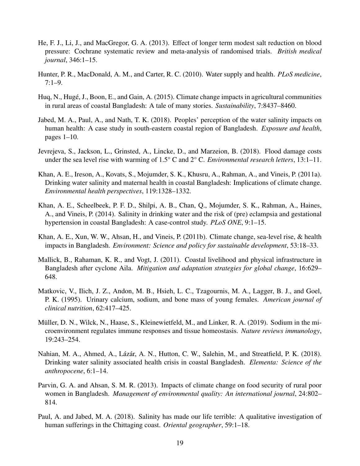- He, F. J., Li, J., and MacGregor, G. A. (2013). Effect of longer term modest salt reduction on blood pressure: Cochrane systematic review and meta-analysis of randomised trials. *British medical journal*, 346:1–15.
- Hunter, P. R., MacDonald, A. M., and Carter, R. C. (2010). Water supply and health. *PLoS medicine*, 7:1–9.
- Huq, N., Hugé, J., Boon, E., and Gain, A. (2015). Climate change impacts in agricultural communities in rural areas of coastal Bangladesh: A tale of many stories. *Sustainability*, 7:8437–8460.
- Jabed, M. A., Paul, A., and Nath, T. K. (2018). Peoples' perception of the water salinity impacts on human health: A case study in south-eastern coastal region of Bangladesh. *Exposure and health*, pages 1–10.
- Jevrejeva, S., Jackson, L., Grinsted, A., Lincke, D., and Marzeion, B. (2018). Flood damage costs under the sea level rise with warming of 1.5° C and 2° C. *Environmental research letters*, 13:1–11.
- Khan, A. E., Ireson, A., Kovats, S., Mojumder, S. K., Khusru, A., Rahman, A., and Vineis, P. (2011a). Drinking water salinity and maternal health in coastal Bangladesh: Implications of climate change. *Environmental health perspectives*, 119:1328–1332.
- Khan, A. E., Scheelbeek, P. F. D., Shilpi, A. B., Chan, Q., Mojumder, S. K., Rahman, A., Haines, A., and Vineis, P. (2014). Salinity in drinking water and the risk of (pre) eclampsia and gestational hypertension in coastal Bangladesh: A case-control study. *PLoS ONE*, 9:1–15.
- Khan, A. E., Xun, W. W., Ahsan, H., and Vineis, P. (2011b). Climate change, sea-level rise, & health impacts in Bangladesh. *Environment: Science and policy for sustainable development*, 53:18–33.
- Mallick, B., Rahaman, K. R., and Vogt, J. (2011). Coastal livelihood and physical infrastructure in Bangladesh after cyclone Aila. *Mitigation and adaptation strategies for global change*, 16:629– 648.
- Matkovic, V., Ilich, J. Z., Andon, M. B., Hsieh, L. C., Tzagournis, M. A., Lagger, B. J., and Goel, P. K. (1995). Urinary calcium, sodium, and bone mass of young females. *American journal of clinical nutrition*, 62:417–425.
- Müller, D. N., Wilck, N., Haase, S., Kleinewietfeld, M., and Linker, R. A. (2019). Sodium in the microenvironment regulates immune responses and tissue homeostasis. *Nature reviews immunology*, 19:243–254.
- Nahian, M. A., Ahmed, A., Lázár, A. N., Hutton, C. W., Salehin, M., and Streatfield, P. K. (2018). Drinking water salinity associated health crisis in coastal Bangladesh. *Elementa: Science of the anthropocene*, 6:1–14.
- Parvin, G. A. and Ahsan, S. M. R. (2013). Impacts of climate change on food security of rural poor women in Bangladesh. *Management of environmental quality: An international journal*, 24:802– 814.
- Paul, A. and Jabed, M. A. (2018). Salinity has made our life terrible: A qualitative investigation of human sufferings in the Chittaging coast. *Oriental geographer*, 59:1–18.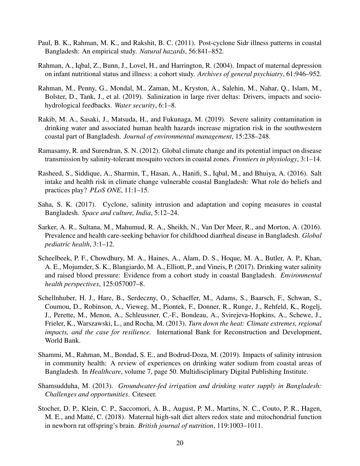- Paul, B. K., Rahman, M. K., and Rakshit, B. C. (2011). Post-cyclone Sidr illness patterns in coastal Bangladesh: An empirical study. *Natural hazards*, 56:841–852.
- Rahman, A., Iqbal, Z., Bunn, J., Lovel, H., and Harrington, R. (2004). Impact of maternal depression on infant nutritional status and illness: a cohort study. *Archives of general psychiatry*, 61:946–952.
- Rahman, M., Penny, G., Mondal, M., Zaman, M., Kryston, A., Salehin, M., Nahar, Q., Islam, M., Bolster, D., Tank, J., et al. (2019). Salinization in large river deltas: Drivers, impacts and sociohydrological feedbacks. *Water security*, 6:1–8.
- Rakib, M. A., Sasaki, J., Matsuda, H., and Fukunaga, M. (2019). Severe salinity contamination in drinking water and associated human health hazards increase migration risk in the southwestern coastal part of Bangladesh. *Journal of environmental management*, 15:238–248.
- Ramasamy, R. and Surendran, S. N. (2012). Global climate change and its potential impact on disease transmission by salinity-tolerant mosquito vectors in coastal zones. *Frontiers in physiology*, 3:1–14.
- Rasheed, S., Siddique, A., Sharmin, T., Hasan, A., Hanifi, S., Iqbal, M., and Bhuiya, A. (2016). Salt intake and health risk in climate change vulnerable coastal Bangladesh: What role do beliefs and practices play? *PLoS ONE*, 11:1–15.
- Saha, S. K. (2017). Cyclone, salinity intrusion and adaptation and coping measures in coastal Bangladesh. *Space and culture, India*, 5:12–24.
- Sarker, A. R., Sultana, M., Mahumud, R. A., Sheikh, N., Van Der Meer, R., and Morton, A. (2016). Prevalence and health care-seeking behavior for childhood diarrheal disease in Bangladesh. *Global pediatric health*, 3:1–12.
- Scheelbeek, P. F., Chowdhury, M. A., Haines, A., Alam, D. S., Hoque, M. A., Butler, A. P., Khan, A. E., Mojumder, S. K., Blangiardo, M. A., Elliott, P., and Vineis, P. (2017). Drinking water salinity and raised blood pressure: Evidence from a cohort study in coastal Bangladesh. *Environmental health perspectives*, 125:057007–8.
- Schellnhuber, H. J., Hare, B., Serdeczny, O., Schaeffer, M., Adams, S., Baarsch, F., Schwan, S., Coumou, D., Robinson, A., Vieweg, M., Piontek, F., Donner, R., Runge, J., Rehfeld, K., Rogelj, J., Perette, M., Menon, A., Schleussner, C.-F., Bondeau, A., Svirejeva-Hopkins, A., Schewe, J., Frieler, K., Warszawski, L., and Rocha, M. (2013). *Turn down the heat: Climate extremes, regional impacts, and the case for resilience.* International Bank for Reconstruction and Development, World Bank.
- Shammi, M., Rahman, M., Bondad, S. E., and Bodrud-Doza, M. (2019). Impacts of salinity intrusion in community health: A review of experiences on drinking water sodium from coastal areas of Bangladesh. In *Healthcare*, volume 7, page 50. Multidisciplinary Digital Publishing Institute.
- Shamsudduha, M. (2013). *Groundwater-fed irrigation and drinking water supply in Bangladesh: Challenges and opportunities*. Citeseer.
- Stocher, D. P., Klein, C. P., Saccomori, A. B., August, P. M., Martins, N. C., Couto, P. R., Hagen, M. E., and Matté, C. (2018). Maternal high-salt diet alters redox state and mitochondrial function in newborn rat offspring's brain. *British journal of nutrition*, 119:1003–1011.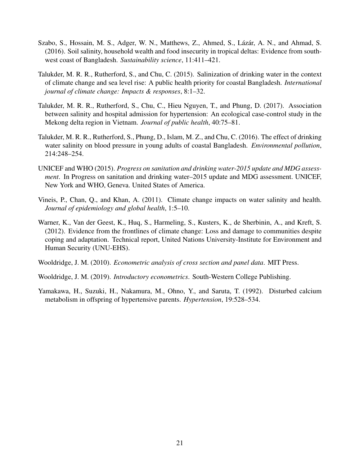- Szabo, S., Hossain, M. S., Adger, W. N., Matthews, Z., Ahmed, S., Lázár, A. N., and Ahmad, S. (2016). Soil salinity, household wealth and food insecurity in tropical deltas: Evidence from southwest coast of Bangladesh. *Sustainability science*, 11:411–421.
- Talukder, M. R. R., Rutherford, S., and Chu, C. (2015). Salinization of drinking water in the context of climate change and sea level rise: A public health priority for coastal Bangladesh. *International journal of climate change: Impacts & responses*, 8:1–32.
- Talukder, M. R. R., Rutherford, S., Chu, C., Hieu Nguyen, T., and Phung, D. (2017). Association between salinity and hospital admission for hypertension: An ecological case-control study in the Mekong delta region in Vietnam. *Journal of public health*, 40:75–81.
- Talukder, M. R. R., Rutherford, S., Phung, D., Islam, M. Z., and Chu, C. (2016). The effect of drinking water salinity on blood pressure in young adults of coastal Bangladesh. *Environmental pollution*, 214:248–254.
- UNICEF and WHO (2015). *Progress on sanitation and drinking water-2015 update and MDG assessment*. In Progress on sanitation and drinking water–2015 update and MDG assessment. UNICEF, New York and WHO, Geneva. United States of America.
- Vineis, P., Chan, Q., and Khan, A. (2011). Climate change impacts on water salinity and health. *Journal of epidemiology and global health*, 1:5–10.
- Warner, K., Van der Geest, K., Huq, S., Harmeling, S., Kusters, K., de Sherbinin, A., and Kreft, S. (2012). Evidence from the frontlines of climate change: Loss and damage to communities despite coping and adaptation. Technical report, United Nations University-Institute for Environment and Human Security (UNU-EHS).
- Wooldridge, J. M. (2010). *Econometric analysis of cross section and panel data*. MIT Press.
- Wooldridge, J. M. (2019). *Introductory econometrics*. South-Western College Publishing.
- Yamakawa, H., Suzuki, H., Nakamura, M., Ohno, Y., and Saruta, T. (1992). Disturbed calcium metabolism in offspring of hypertensive parents. *Hypertension*, 19:528–534.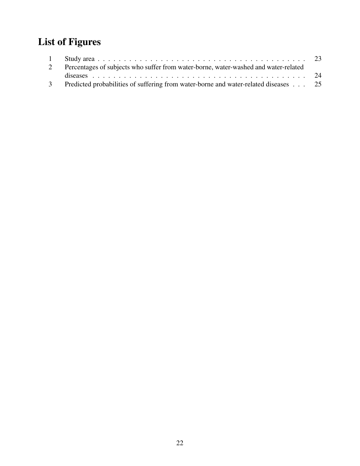# List of Figures

| 2 Percentages of subjects who suffer from water-borne, water-washed and water-related |  |
|---------------------------------------------------------------------------------------|--|
|                                                                                       |  |
| Predicted probabilities of suffering from water-borne and water-related diseases 25   |  |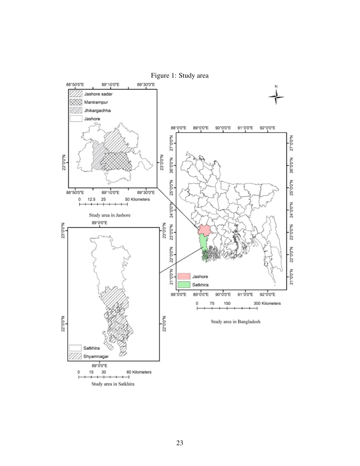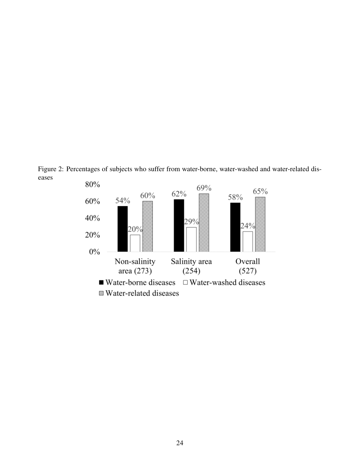Figure 2: Percentages of subjects who suffer from water-borne, water-washed and water-related diseases

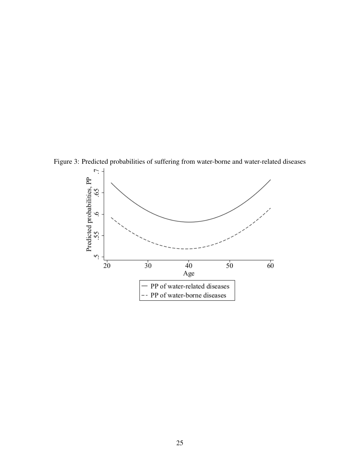

Figure 3: Predicted probabilities of suffering from water-borne and water-related diseases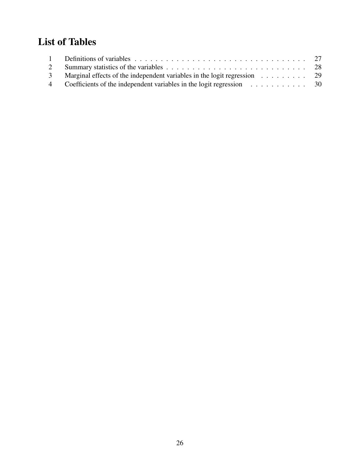# List of Tables

| 3 Marginal effects of the independent variables in the logit regression 29 |  |
|----------------------------------------------------------------------------|--|
| 4 Coefficients of the independent variables in the logit regression 30     |  |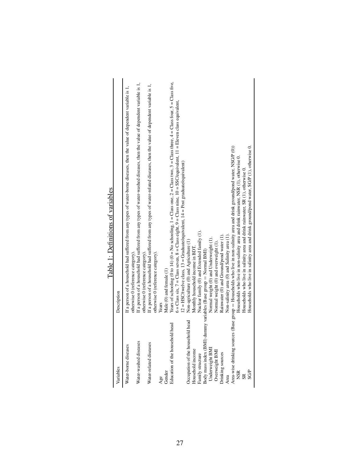Table 1: Definitions of variables Table 1: Definitions of variables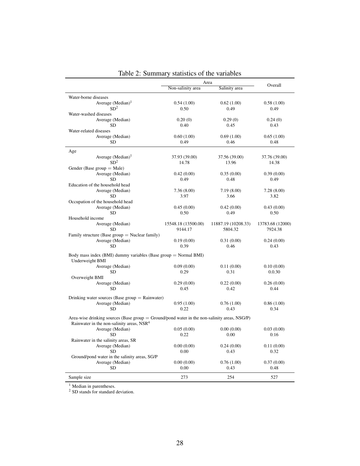|                                                                                                                                                       |                     | Area                | Overall          |
|-------------------------------------------------------------------------------------------------------------------------------------------------------|---------------------|---------------------|------------------|
|                                                                                                                                                       | Non-salinity area   | Salinity area       |                  |
| Water-borne diseases                                                                                                                                  |                     |                     |                  |
| Average $(Median)^1$                                                                                                                                  | 0.54(1.00)          | 0.62(1.00)          | 0.58(1.00)       |
| SD <sup>2</sup>                                                                                                                                       | 0.50                | 0.49                | 0.49             |
| Water-washed diseases                                                                                                                                 |                     |                     |                  |
| Average (Median)                                                                                                                                      | 0.20(0)             | 0.29(0)             | 0.24(0)          |
| <b>SD</b>                                                                                                                                             | 0.40                | 0.45                | 0.43             |
| Water-related diseases                                                                                                                                |                     |                     |                  |
| Average (Median)                                                                                                                                      | 0.60(1.00)          | 0.69(1.00)          | 0.65(1.00)       |
| <b>SD</b>                                                                                                                                             | 0.49                | 0.46                | 0.48             |
|                                                                                                                                                       |                     |                     |                  |
| Age                                                                                                                                                   |                     |                     |                  |
| Average $(Median)^1$                                                                                                                                  | 37.93 (39.00)       | 37.56 (39.00)       | 37.76 (39.00)    |
| SD <sup>2</sup>                                                                                                                                       | 14.78               | 13.96               | 14.38            |
| Gender (Base group $=$ Male)                                                                                                                          |                     |                     |                  |
| Average (Median)                                                                                                                                      | 0.42(0.00)          | 0.35(0.00)          | 0.39(0.00)       |
| <b>SD</b>                                                                                                                                             | 0.49                | 0.48                | 0.49             |
| Education of the household head                                                                                                                       |                     |                     |                  |
| Average (Median)                                                                                                                                      | 7.36(8.00)          | 7.19(8.00)          | 7.28(8.00)       |
| <b>SD</b>                                                                                                                                             | 3.97                | 3.66                | 3.82             |
| Occupation of the household head                                                                                                                      |                     |                     |                  |
| Average (Median)                                                                                                                                      | 0.45(0.00)          | 0.42(0.00)          | 0.43(0.00)       |
| <b>SD</b>                                                                                                                                             | 0.50                | 0.49                | 0.50             |
| Household income                                                                                                                                      |                     |                     |                  |
| Average (Median)                                                                                                                                      | 15548.18 (13500.00) | 11887.19 (10208.33) | 13783.68 (12000) |
| <b>SD</b>                                                                                                                                             | 9144.17             | 5804.32             | 7924.38          |
| Family structure (Base group $=$ Nuclear family)                                                                                                      |                     |                     |                  |
| Average (Median)                                                                                                                                      | 0.19(0.00)          | 0.31(0.00)          | 0.24(0.00)       |
| <b>SD</b>                                                                                                                                             | 0.39                | 0.46                | 0.43             |
| Body mass index (BMI) dummy variables (Base group $=$ Normal BMI)<br>Underweight BMI                                                                  |                     |                     |                  |
| Average (Median)                                                                                                                                      | 0.09(0.00)          | 0.11(0.00)          | 0.10(0.00)       |
| <b>SD</b>                                                                                                                                             | 0.29                | 0.31                | 0.0.30           |
| Overweight BMI                                                                                                                                        |                     |                     |                  |
| Average (Median)                                                                                                                                      | 0.29(0.00)          | 0.22(0.00)          | 0.26(0.00)       |
| <b>SD</b>                                                                                                                                             | 0.45                | 0.42                | 0.44             |
|                                                                                                                                                       |                     |                     |                  |
| Drinking water sources (Base group $=$ Rainwater)                                                                                                     |                     |                     |                  |
| Average (Median)                                                                                                                                      | 0.95(1.00)          | 0.76(1.00)          | 0.86(1.00)       |
| <b>SD</b>                                                                                                                                             | 0.22                | 0.43                | 0.34             |
| Area-wise drinking sources (Base group = Ground/pond water in the non-salinity areas, NSG/P)<br>Rainwater in the non-salinity areas, NSR <sup>4</sup> |                     |                     |                  |
| Average (Median)                                                                                                                                      | 0.05(0.00)          | 0.00(0.00)          | 0.03(0.00)       |
| <b>SD</b>                                                                                                                                             | 0.22                | 0.00                | 0.16             |
| Rainwater in the salinity areas, SR                                                                                                                   |                     |                     |                  |
| Average (Median)                                                                                                                                      | 0.00(0.00)          | 0.24(0.00)          | 0.11(0.00)       |
| <b>SD</b>                                                                                                                                             | 0.00                | 0.43                | 0.32             |
|                                                                                                                                                       |                     |                     |                  |
| Ground/pond water in the salinity areas, SG/P                                                                                                         |                     |                     | 0.37(0.00)       |
| Average (Median)<br><b>SD</b>                                                                                                                         | 0.00(0.00)<br>0.00  | 0.76(1.00)<br>0.43  | 0.48             |
|                                                                                                                                                       |                     |                     |                  |
| Sample size                                                                                                                                           | 273                 | 254                 | 527              |

| Table 2: Summary statistics of the variables |  |  |  |
|----------------------------------------------|--|--|--|
|----------------------------------------------|--|--|--|

<sup>1</sup> Median in parentheses.

<sup>2</sup> SD stands for standard deviation.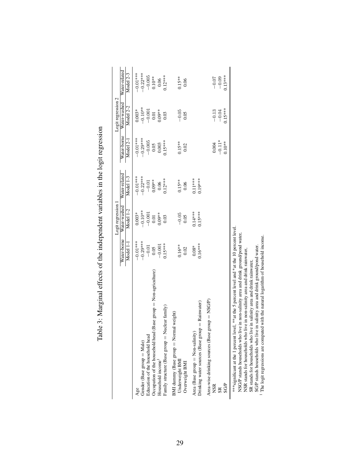|                                                                                                                                                                                                                                                                                                                                                  |                          | Logit regression 1                      |                            |                                | Logit regression 2             |                            |
|--------------------------------------------------------------------------------------------------------------------------------------------------------------------------------------------------------------------------------------------------------------------------------------------------------------------------------------------------|--------------------------|-----------------------------------------|----------------------------|--------------------------------|--------------------------------|----------------------------|
|                                                                                                                                                                                                                                                                                                                                                  | Water-borne<br>Model 1-1 | Water-washed<br>Model 1-2               | Water-related<br>Model 1-3 | Water-borne<br>Model 2-1       | Water-washed<br>Model 2-2      | Water-related<br>Model 2-3 |
|                                                                                                                                                                                                                                                                                                                                                  | $-0.01***$               | $0.003*$                                | $-0.01***$                 | $-0.01***$                     | $0.003*$                       | $-0.01***$                 |
| Gender (Base group = Male)                                                                                                                                                                                                                                                                                                                       | $-0.29***$               |                                         | $-0.22***$                 | $-0.29$ **                     |                                | $-0.22***$                 |
| Education of the household head                                                                                                                                                                                                                                                                                                                  |                          |                                         |                            |                                | $-0.10***$<br>$-0.001$<br>0.01 |                            |
| Occupation of the household head (Base group $=$ Non-agriculture)                                                                                                                                                                                                                                                                                | $\frac{-0.01}{0.05}$     |                                         | $-0.01$<br>0.09**          |                                |                                | $-0.005$<br>$0.10***$      |
| Household income <sup>1</sup>                                                                                                                                                                                                                                                                                                                    | $-0.001$                 | $-0.10**$<br>$-0.001$<br>0.01<br>0.09** | 0.06                       | $\frac{-0.005}{0.05}$<br>0.003 | $0.09**$                       | 0.06                       |
| Family structure (Base group $=$ Nuclear family)                                                                                                                                                                                                                                                                                                 | $0.15***$                | 0.03                                    | $0.12***$                  | $0.15***$                      | 0.03                           | $0.12***$                  |
| weight)<br>BMI dummy (Base group = Normal<br>Underweight BMI                                                                                                                                                                                                                                                                                     | $0.16***$                | $-0.05$                                 | $0.15***$                  | $0.15***$                      | $-0.05$                        | $0.15***$                  |
| Overweight BMI                                                                                                                                                                                                                                                                                                                                   | 0.02                     | 0.05                                    | 0.06                       | 0.02                           | 0.05                           | 0.06                       |
| $=$ Rainwater)<br>Drinking water sources (Base group<br>Area (Base group = Non-salinity)                                                                                                                                                                                                                                                         | $0.16***$<br>$0.08*$     | $0.15***$<br>$0.14***$                  | $0.19***$<br>$0.11***$     |                                |                                |                            |
| Area-wise drinking sources (Base group $=$ NSG/P)<br><b>NSR</b>                                                                                                                                                                                                                                                                                  |                          |                                         |                            | 0.004                          | $-0.13$                        | $-0.07$                    |
|                                                                                                                                                                                                                                                                                                                                                  |                          |                                         |                            | $-0.11*$                       | $-0.04$                        | $-0.09$                    |
| SG/P                                                                                                                                                                                                                                                                                                                                             |                          |                                         |                            | $0.10**$                       | $0.15***$                      | $0.13***$                  |
| ***significant at the 1 percent level, **at the 5 percent level and *at the 10 percent level<br>NSG/P stands households who live in non-salinity area and drink ground/pond water,<br>NSR stands for households who live in non-salinity area and drink rainwater,<br>in salinity area and drink rainwater,<br>SR stands for households who live |                          |                                         |                            |                                |                                |                            |
| The logit regressions are computed with the natural logarithm of household income.<br>SG/P stands households who live in salinity area and drink ground/pond water.                                                                                                                                                                              |                          |                                         |                            |                                |                                |                            |

Table 3: Marginal effects of the independent variables in the logit regression Table 3: Marginal effects of the independent variables in the logit regression